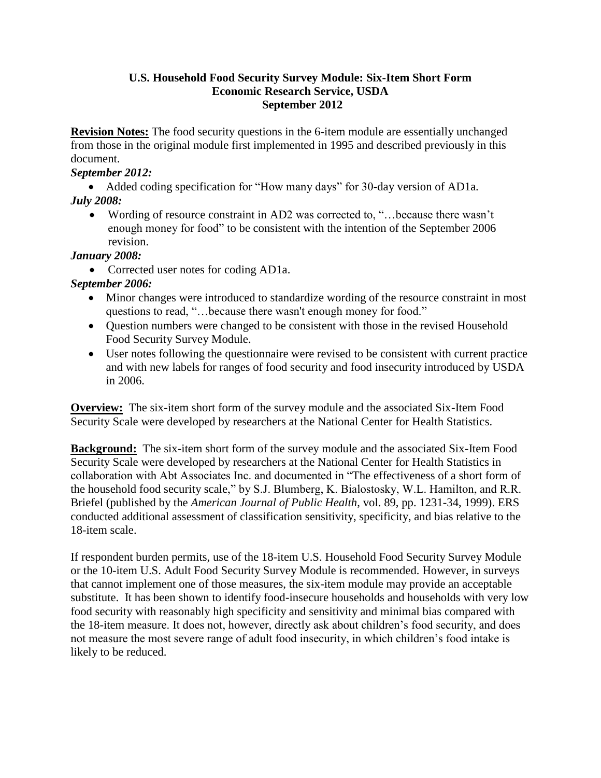### **U.S. Household Food Security Survey Module: Six-Item Short Form Economic Research Service, USDA September 2012**

**Revision Notes:** The food security questions in the 6-item module are essentially unchanged from those in the original module first implemented in 1995 and described previously in this document.

### *September 2012:*

 Added coding specification for "How many days" for 30-day version of AD1a. *July 2008:*

 Wording of resource constraint in AD2 was corrected to, "…because there wasn't enough money for food" to be consistent with the intention of the September 2006 revision.

# *January 2008:*

Corrected user notes for coding AD1a.

# *September 2006:*

- Minor changes were introduced to standardize wording of the resource constraint in most questions to read, "…because there wasn't enough money for food."
- Question numbers were changed to be consistent with those in the revised Household Food Security Survey Module.
- User notes following the questionnaire were revised to be consistent with current practice and with new labels for ranges of food security and food insecurity introduced by USDA in 2006.

**Overview:** The six-item short form of the survey module and the associated Six-Item Food Security Scale were developed by researchers at the National Center for Health Statistics.

**Background:** The six-item short form of the survey module and the associated Six-Item Food Security Scale were developed by researchers at the National Center for Health Statistics in collaboration with Abt Associates Inc. and documented in "The effectiveness of a short form of the household food security scale," by S.J. Blumberg, K. Bialostosky, W.L. Hamilton, and R.R. Briefel (published by the *American Journal of Public Health*, vol. 89, pp. 1231-34, 1999). ERS conducted additional assessment of classification sensitivity, specificity, and bias relative to the 18-item scale.

If respondent burden permits, use of the 18-item U.S. Household Food Security Survey Module or the 10-item U.S. Adult Food Security Survey Module is recommended. However, in surveys that cannot implement one of those measures, the six-item module may provide an acceptable substitute. It has been shown to identify food-insecure households and households with very low food security with reasonably high specificity and sensitivity and minimal bias compared with the 18-item measure. It does not, however, directly ask about children's food security, and does not measure the most severe range of adult food insecurity, in which children's food intake is likely to be reduced.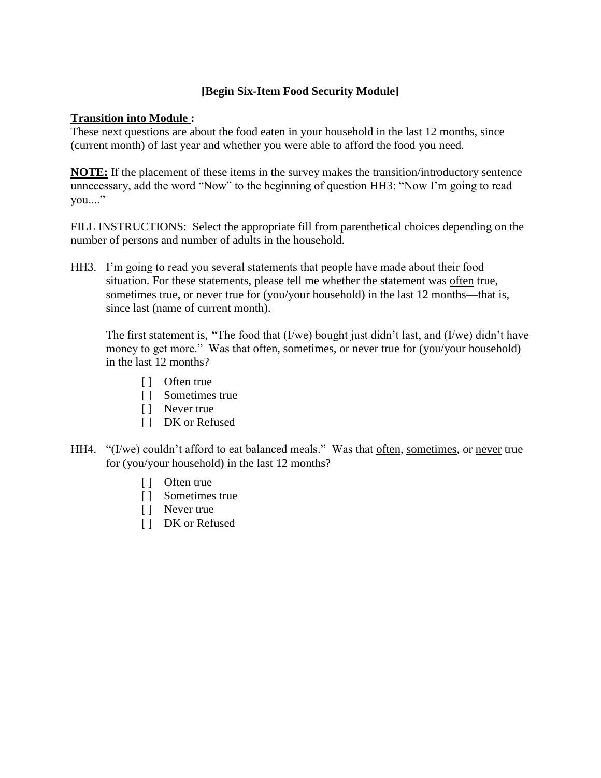## **[Begin Six-Item Food Security Module]**

### **Transition into Module :**

These next questions are about the food eaten in your household in the last 12 months, since (current month) of last year and whether you were able to afford the food you need.

**NOTE:** If the placement of these items in the survey makes the transition/introductory sentence unnecessary, add the word "Now" to the beginning of question HH3: "Now I'm going to read you...."

FILL INSTRUCTIONS: Select the appropriate fill from parenthetical choices depending on the number of persons and number of adults in the household.

HH3. I'm going to read you several statements that people have made about their food situation. For these statements, please tell me whether the statement was often true, sometimes true, or never true for (you/your household) in the last 12 months—that is, since last (name of current month).

The first statement is, "The food that (I/we) bought just didn't last, and (I/we) didn't have money to get more." Was that often, sometimes, or never true for (you/your household) in the last 12 months?

- [ ] Often true
- [ ] Sometimes true
- [ ] Never true
- [ ] DK or Refused
- HH4. "(I/we) couldn't afford to eat balanced meals." Was that often, sometimes, or never true for (you/your household) in the last 12 months?
	- [ ] Often true
	- [ ] Sometimes true
	- [ ] Never true
	- [ ] DK or Refused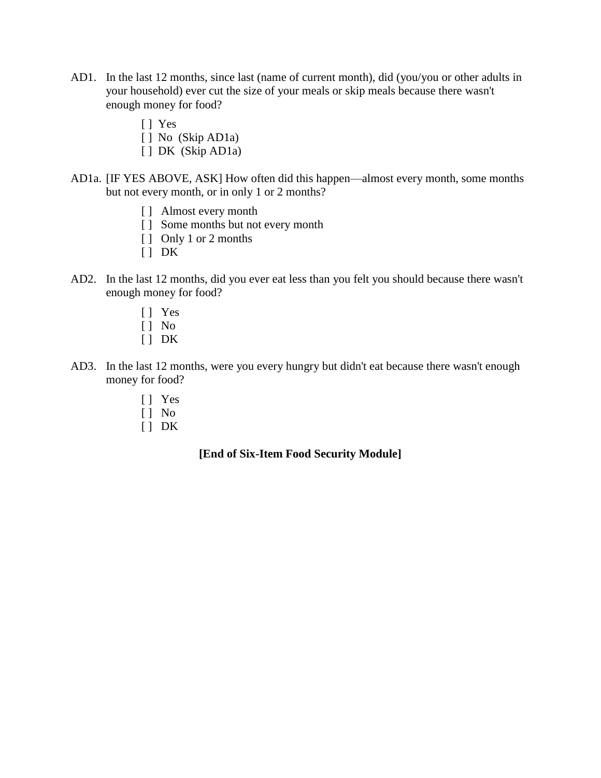- AD1. In the last 12 months, since last (name of current month), did (you/you or other adults in your household) ever cut the size of your meals or skip meals because there wasn't enough money for food?
	- [ ] Yes
	- [] No (Skip AD1a)
	- [ ] DK (Skip AD1a)
- AD1a. [IF YES ABOVE, ASK] How often did this happen—almost every month, some months but not every month, or in only 1 or 2 months?
	- [ ] Almost every month
	- [ ] Some months but not every month
	- [ ] Only 1 or 2 months
	- [ ] DK
- AD2. In the last 12 months, did you ever eat less than you felt you should because there wasn't enough money for food?
	- [ ] Yes
	- $\begin{bmatrix} 1 \\ \end{bmatrix}$  No
	- $[ ] DK$
- AD3. In the last 12 months, were you every hungry but didn't eat because there wasn't enough money for food?
	- [ ] Yes
	- [ ] No
	- $[$   $]$  DK

### **[End of Six-Item Food Security Module]**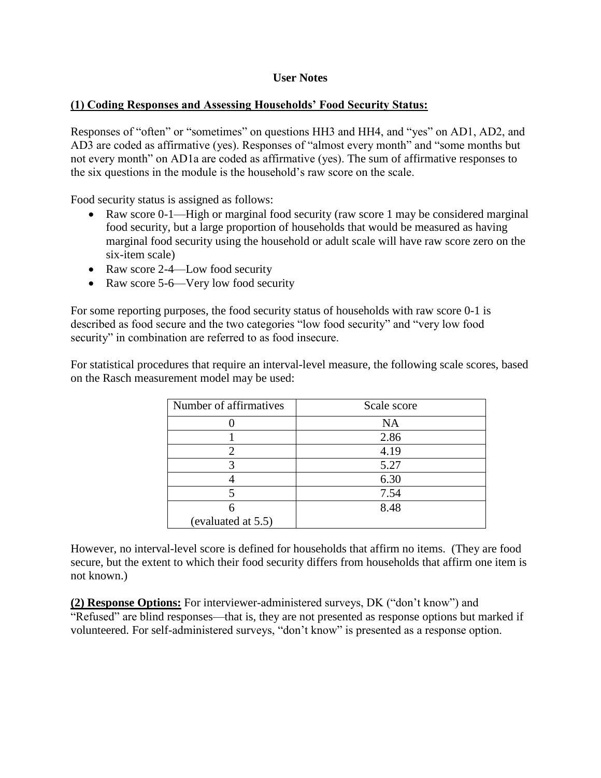### **User Notes**

### **(1) Coding Responses and Assessing Households' Food Security Status:**

Responses of "often" or "sometimes" on questions HH3 and HH4, and "yes" on AD1, AD2, and AD3 are coded as affirmative (yes). Responses of "almost every month" and "some months but not every month" on AD1a are coded as affirmative (yes). The sum of affirmative responses to the six questions in the module is the household's raw score on the scale.

Food security status is assigned as follows:

- Raw score 0-1—High or marginal food security (raw score 1 may be considered marginal food security, but a large proportion of households that would be measured as having marginal food security using the household or adult scale will have raw score zero on the six-item scale)
- Raw score 2-4—Low food security
- Raw score 5-6—Very low food security

For some reporting purposes, the food security status of households with raw score 0-1 is described as food secure and the two categories "low food security" and "very low food security" in combination are referred to as food insecure.

For statistical procedures that require an interval-level measure, the following scale scores, based on the Rasch measurement model may be used:

| Number of affirmatives | Scale score |
|------------------------|-------------|
|                        | <b>NA</b>   |
|                        | 2.86        |
|                        | 4.19        |
|                        | 5.27        |
|                        | 6.30        |
|                        | 7.54        |
|                        | 8.48        |
| (evaluated at 5.5)     |             |

However, no interval-level score is defined for households that affirm no items. (They are food secure, but the extent to which their food security differs from households that affirm one item is not known.)

**(2) Response Options:** For interviewer-administered surveys, DK ("don't know") and "Refused" are blind responses—that is, they are not presented as response options but marked if volunteered. For self-administered surveys, "don't know" is presented as a response option.